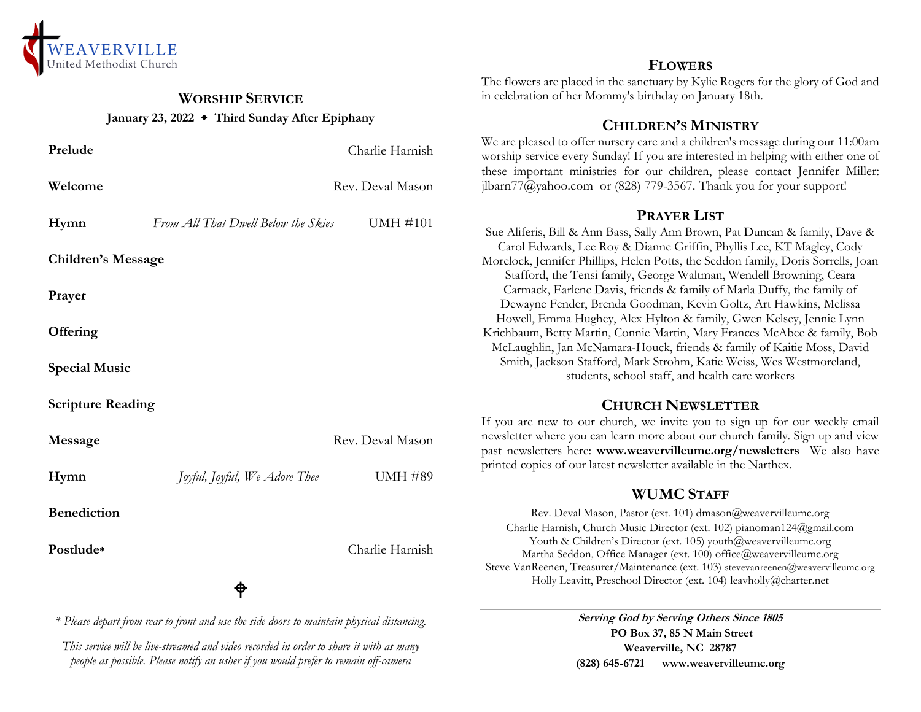

# **WORSHIP SERVICE January 23, 2022 Third Sunday After Epiphany**

| Prelude                                                                                    |                                     | Charlie Harnish  |
|--------------------------------------------------------------------------------------------|-------------------------------------|------------------|
| Welcome                                                                                    |                                     | Rev. Deval Mason |
| Hymn                                                                                       | From All That Dwell Below the Skies | <b>UMH #101</b>  |
| <b>Children's Message</b>                                                                  |                                     |                  |
| Prayer                                                                                     |                                     |                  |
| Offering                                                                                   |                                     |                  |
| <b>Special Music</b>                                                                       |                                     |                  |
| <b>Scripture Reading</b>                                                                   |                                     |                  |
| Message                                                                                    |                                     | Rev. Deval Mason |
| Hymn                                                                                       | Joyful, Joyful, We Adore Thee       | <b>UMH #89</b>   |
| <b>Benediction</b>                                                                         |                                     |                  |
| Postlude*                                                                                  |                                     | Charlie Harnish  |
|                                                                                            | ♦                                   |                  |
| * Please depart from rear to front and use the side doors to maintain physical distancing. |                                     |                  |

*This service will be live-streamed and video recorded in order to share it with as many people as possible. Please notify an usher if you would prefer to remain off-camera*

#### **FLOWERS**

The flowers are placed in the sanctuary by Kylie Rogers for the glory of God and in celebration of her Mommy's birthday on January 18th.

### **CHILDREN'S MINISTRY**

We are pleased to offer nursery care and a children's message during our 11:00am worship service every Sunday! If you are interested in helping with either one of these important ministries for our children, please contact Jennifer Miller: jlbarn $77$ @yahoo.com or (828) 779-3567. Thank you for your support!

#### **PRAYER LIST**

Sue Aliferis, Bill & Ann Bass, Sally Ann Brown, Pat Duncan & family, Dave & Carol Edwards, Lee Roy & Dianne Griffin, Phyllis Lee, KT Magley, Cody Morelock, Jennifer Phillips, Helen Potts, the Seddon family, Doris Sorrells, Joan Stafford, the Tensi family, George Waltman, Wendell Browning, Ceara Carmack, Earlene Davis, friends & family of Marla Duffy, the family of Dewayne Fender, Brenda Goodman, Kevin Goltz, Art Hawkins, Melissa Howell, Emma Hughey, Alex Hylton & family, Gwen Kelsey, Jennie Lynn Krichbaum, Betty Martin, Connie Martin, Mary Frances McAbee & family, Bob McLaughlin, Jan McNamara-Houck, friends & family of Kaitie Moss, David Smith, Jackson Stafford, Mark Strohm, Katie Weiss, Wes Westmoreland, students, school staff, and health care workers

# **CHURCH NEWSLETTER**

If you are new to our church, we invite you to sign up for our weekly email newsletter where you can learn more about our church family. Sign up and view past newsletters here: **www.weavervilleumc.org/newsletters** We also have printed copies of our latest newsletter available in the Narthex.

# **WUMC STAFF**

Rev. Deval Mason, Pastor (ext. 101) dmason@weavervilleumc.org Charlie Harnish, Church Music Director (ext. 102) pianoman124@gmail.com Youth & Children's Director (ext. 105) youth@weavervilleumc.org Martha Seddon, Office Manager (ext. 100) office@weavervilleumc.org Steve VanReenen, Treasurer/Maintenance (ext. 103) stevevanreenen@weavervilleumc.org Holly Leavitt, Preschool Director (ext. 104) leavholly@charter.net

> **Serving God by Serving Others Since 1805 PO Box 37, 85 N Main Street Weaverville, NC 28787 (828) 645-6721 [www.weavervilleumc.org](http://www.weavervilleumc.org/)**